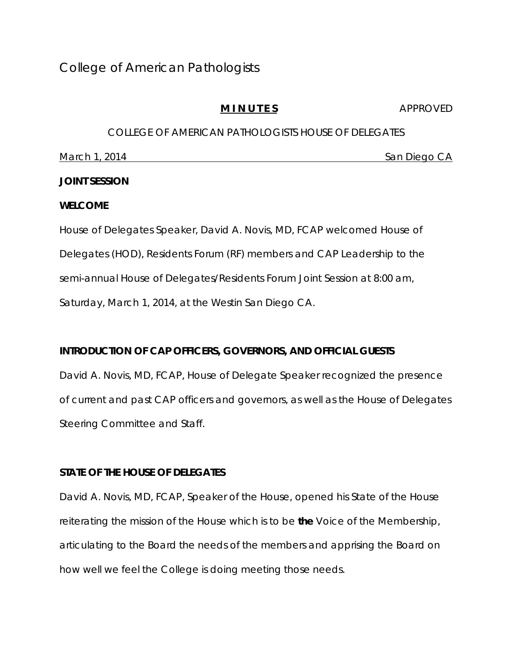# **M I N U T E S** APPROVED

# COLLEGE OF AMERICAN PATHOLOGISTS HOUSE OF DELEGATES March 1, 2014 **San Diego CA**

# **JOINT SESSION**

#### **WELCOME**

House of Delegates Speaker, David A. Novis, MD, FCAP welcomed House of Delegates (HOD), Residents Forum (RF) members and CAP Leadership to the semi-annual House of Delegates/Residents Forum Joint Session at 8:00 am, Saturday, March 1, 2014, at the Westin San Diego CA.

# **INTRODUCTION OF CAP OFFICERS, GOVERNORS, AND OFFICIAL GUESTS**

David A. Novis, MD, FCAP, House of Delegate Speaker recognized the presence of current and past CAP officers and governors, as well as the House of Delegates Steering Committee and Staff.

# **STATE OF THE HOUSE OF DELEGATES**

David A. Novis, MD, FCAP, Speaker of the House, opened his State of the House reiterating the mission of the House which is to be *the* Voice of the Membership, articulating to the Board the needs of the members and apprising the Board on how well we feel the College is doing meeting those needs.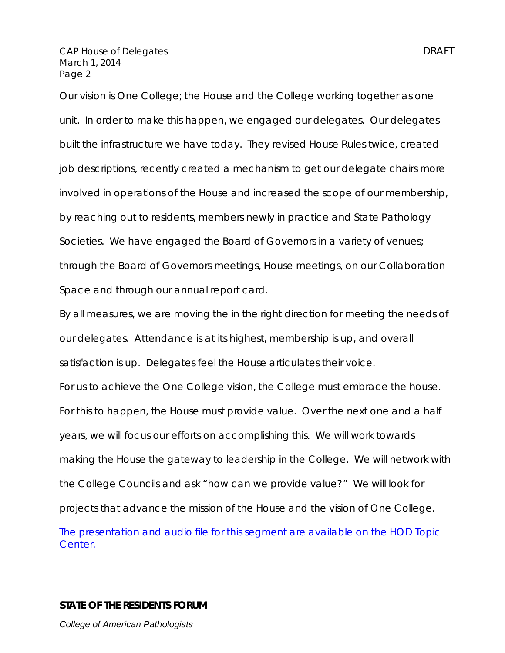Our vision is One College; the House and the College working together as one unit. In order to make this happen, we engaged our delegates. Our delegates built the infrastructure we have today. They revised House Rules twice, created job descriptions, recently created a mechanism to get our delegate chairs more involved in operations of the House and increased the scope of our membership, by reaching out to residents, members newly in practice and State Pathology Societies. We have engaged the Board of Governors in a variety of venues; through the Board of Governors meetings, House meetings, on our Collaboration Space and through our annual report card.

By all measures, we are moving the in the right direction for meeting the needs of our delegates. Attendance is at its highest, membership is up, and overall satisfaction is up. Delegates feel the House articulates their voice. For us to achieve the *One College* vision, the College must embrace the house. For this to happen, the House must provide value. Over the next one and a half years, we will focus our efforts on accomplishing this. We will work towards making the House the gateway to leadership in the College. We will network with the College Councils and ask "how can we provide value?" We will look for projects that advance the mission of the House and the vision of *One College*. *The presentation and audio file for this segment are available on the HOD Topic* 

*Center.*

**STATE OF THE RESIDENTS FORUM** 

*College of American Pathologists*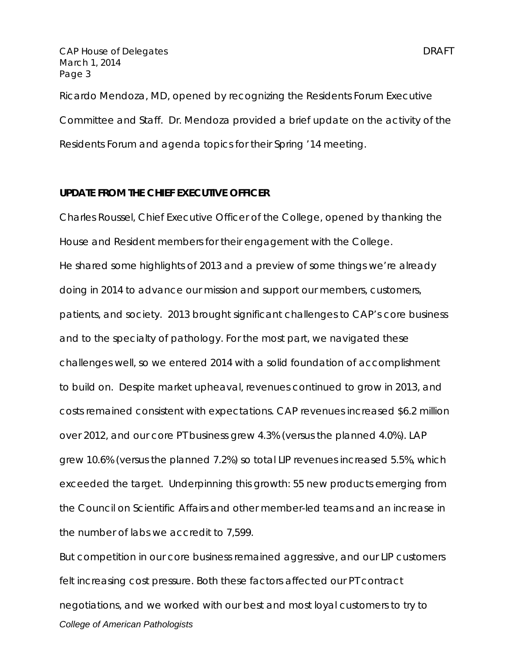Ricardo Mendoza, MD, opened by recognizing the Residents Forum Executive Committee and Staff. Dr. Mendoza provided a brief update on the activity of the Residents Forum and agenda topics for their Spring '14 meeting.

#### **UPDATE FROM THE CHIEF EXECUTIVE OFFICER**

Charles Roussel, Chief Executive Officer of the College, opened by thanking the House and Resident members for their engagement with the College. He shared some highlights of 2013 and a preview of some things we're already doing in 2014 to advance our mission and support our members, customers, patients, and society. 2013 brought significant challenges to CAP's core business and to the specialty of pathology. For the most part, we navigated these challenges well, so we entered 2014 with a solid foundation of accomplishment to build on. Despite market upheaval, revenues continued to grow in 2013, and costs remained consistent with expectations. CAP revenues increased \$6.2 million over 2012, and our core PT business grew 4.3% (versus the planned 4.0%). LAP grew 10.6% (versus the planned 7.2%) so total LIP revenues increased 5.5%, which exceeded the target. Underpinning this growth: 55 new products emerging from the Council on Scientific Affairs and other member-led teams and an increase in the number of labs we accredit to 7,599.

*College of American Pathologists*  But competition in our core business remained aggressive, and our LIP customers felt increasing cost pressure. Both these factors affected our PT contract negotiations, and we worked with our best and most loyal customers to try to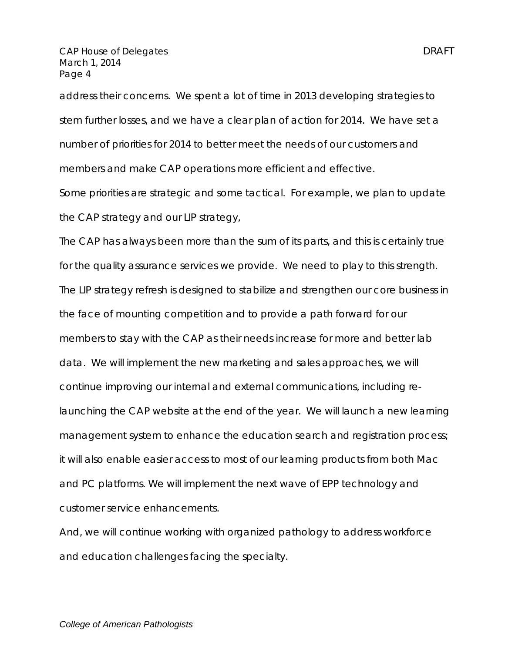address their concerns. We spent a lot of time in 2013 developing strategies to stem further losses, and we have a clear plan of action for 2014. We have set a number of priorities for 2014 to better meet the needs of our customers and members and make CAP operations more efficient and effective.

Some priorities are strategic and some tactical. For example, we plan to update the CAP strategy and our LIP strategy,

The CAP has always been more than the sum of its parts, and this is certainly true for the quality assurance services we provide. We need to play to this strength. The LIP strategy refresh is designed to stabilize and strengthen our core business in the face of mounting competition and to provide a path forward for our members to stay with the CAP as their needs increase for more and better lab data. We will implement the new marketing and sales approaches, we will continue improving our internal and external communications, including relaunching the CAP website at the end of the year. We will launch a new learning management system to enhance the education search and registration process; it will also enable easier access to most of our learning products from both Mac and PC platforms. We will implement the next wave of EPP technology and customer service enhancements.

And, we will continue working with organized pathology to address workforce and education challenges facing the specialty.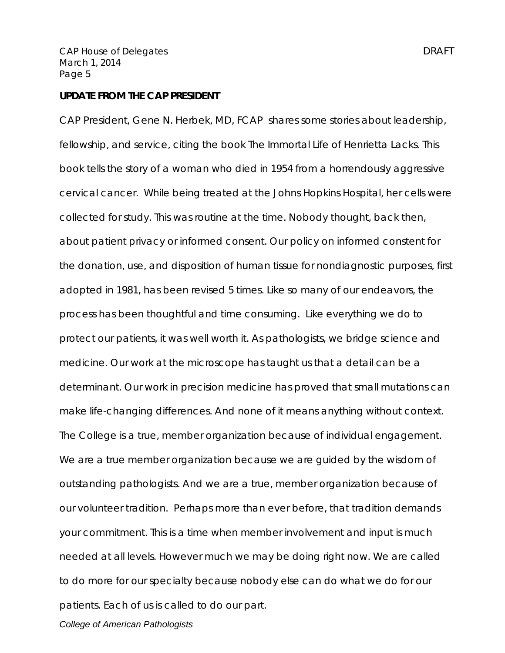#### **UPDATE FROM THE CAP PRESIDENT**

CAP President, Gene N. Herbek, MD, FCAP shares some stories about leadership, fellowship, and service, citing the book The Immortal Life of Henrietta Lacks. This book tells the story of a woman who died in 1954 from a horrendously aggressive cervical cancer. While being treated at the Johns Hopkins Hospital, her cells were collected for study. This was routine at the time. Nobody thought, back then, about patient privacy or informed consent. Our policy on informed constent for the donation, use, and disposition of human tissue for nondiagnostic purposes, first adopted in 1981, has been revised 5 times. Like so many of our endeavors, the process has been thoughtful and time consuming. Like everything we do to protect our patients, it was well worth it. As pathologists, we bridge science and medicine. Our work at the microscope has taught us that a detail can be a determinant. Our work in precision medicine has proved that small mutations can make life-changing differences. And none of it means anything without context. The College is a true, member organization because of individual engagement. We are a true member organization because we are guided by the wisdom of outstanding pathologists. And we are a true, member organization because of our volunteer tradition. Perhaps more than ever before, that tradition demands your commitment. This is a time when member involvement and input is much needed at all levels. However much we may be doing right now. We are called to do more for our specialty because nobody else can do what we do for our patients. Each of us is called to do our part.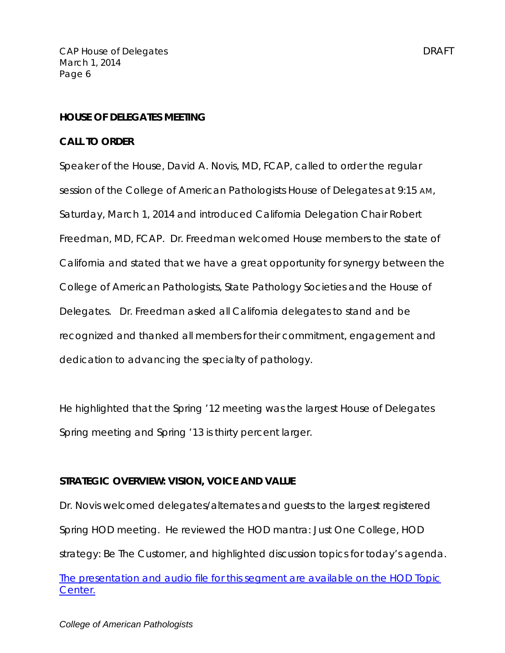#### **HOUSE OF DELEGATES MEETING**

#### **CALL TO ORDER**

Speaker of the House, David A. Novis, MD, FCAP, called to order the regular session of the College of American Pathologists House of Delegates at 9:15 AM, Saturday, March 1, 2014 and introduced California Delegation Chair Robert Freedman, MD, FCAP. Dr. Freedman welcomed House members to the state of California and stated that we have a great opportunity for synergy between the College of American Pathologists, State Pathology Societies and the House of Delegates. Dr. Freedman asked all California delegates to stand and be recognized and thanked all members for their commitment, engagement and dedication to advancing the specialty of pathology.

He highlighted that the Spring '12 meeting was the largest House of Delegates Spring meeting and Spring '13 is thirty percent larger.

#### **STRATEGIC OVERVIEW: VISION, VOICE AND VALUE**

Dr. Novis welcomed delegates/alternates and guests to the largest registered Spring HOD meeting. He reviewed the HOD mantra: Just One College, HOD strategy: Be The Customer, and highlighted discussion topics for today's agenda.

# *The presentation and audio file for this segment are available on the HOD Topic Center.*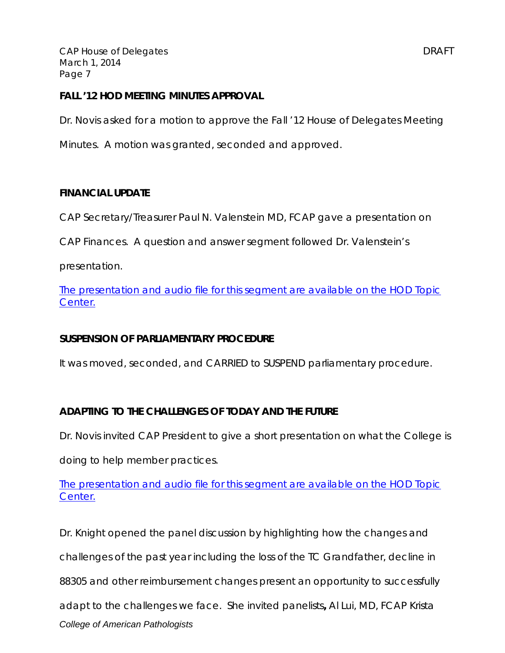#### **FALL '12 HOD MEETING MINUTES APPROVAL**

Dr. Novis asked for a motion to approve the Fall '12 House of Delegates Meeting

Minutes. A motion was granted, seconded and approved.

### **FINANCIAL UPDATE**

CAP Secretary/Treasurer Paul N. Valenstein MD, FCAP gave a presentation on

CAP Finances. A question and answer segment followed Dr. Valenstein's

presentation.

*The presentation and audio file for this segment are available on the HOD Topic Center.*

# **SUSPENSION OF PARLIAMENTARY PROCEDURE**

It was moved, seconded, and CARRIED to SUSPEND parliamentary procedure.

# **ADAPTING TO THE CHALLENGES OF TODAY AND THE FUTURE**

Dr. Novis invited CAP President to give a short presentation on what the College is

doing to help member practices.

*The presentation and audio file for this segment are available on the HOD Topic Center.*

*College of American Pathologists*  Dr. Knight opened the panel discussion by highlighting how the changes and challenges of the past year including the loss of the TC Grandfather, decline in 88305 and other reimbursement changes present an opportunity to successfully adapt to the challenges we face. She invited panelists**,** Al Lui, MD, FCAP Krista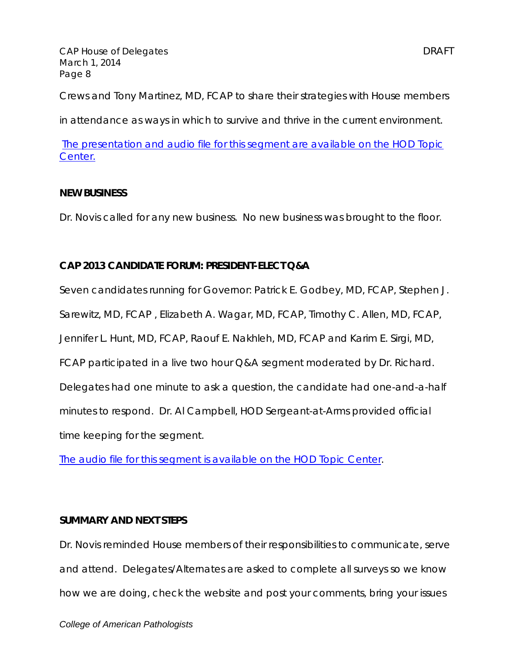Crews and Tony Martinez, MD, FCAP to share their strategies with House members

in attendance as ways in which to survive and thrive in the current environment.

*The presentation and audio file for this segment are available on the HOD Topic Center.*

#### **NEW BUSINESS**

Dr. Novis called for any new business. No new business was brought to the floor.

# **CAP 2013 CANDIDATE FORUM: PRESIDENT-ELECT Q&A**

Seven candidates running for Governor: Patrick E. Godbey, MD, FCAP, Stephen J. Sarewitz, MD, FCAP , Elizabeth A. Wagar, MD, FCAP, Timothy C. Allen, MD, FCAP, Jennifer L. Hunt, MD, FCAP, Raouf E. Nakhleh, MD, FCAP and Karim E. Sirgi, MD, FCAP participated in a live two hour Q&A segment moderated by Dr. Richard. Delegates had one minute to ask a question, the candidate had one-and-a-half minutes to respond. Dr. Al Campbell, HOD Sergeant-at-Arms provided official time keeping for the segment.

*The audio file for this segment is available on the HOD Topic Center.* 

#### **SUMMARY AND NEXT STEPS**

Dr. Novis reminded House members of their responsibilities to communicate, serve and attend. Delegates/Alternates are asked to complete all surveys so we know how we are doing, check the website and post your comments, bring your issues